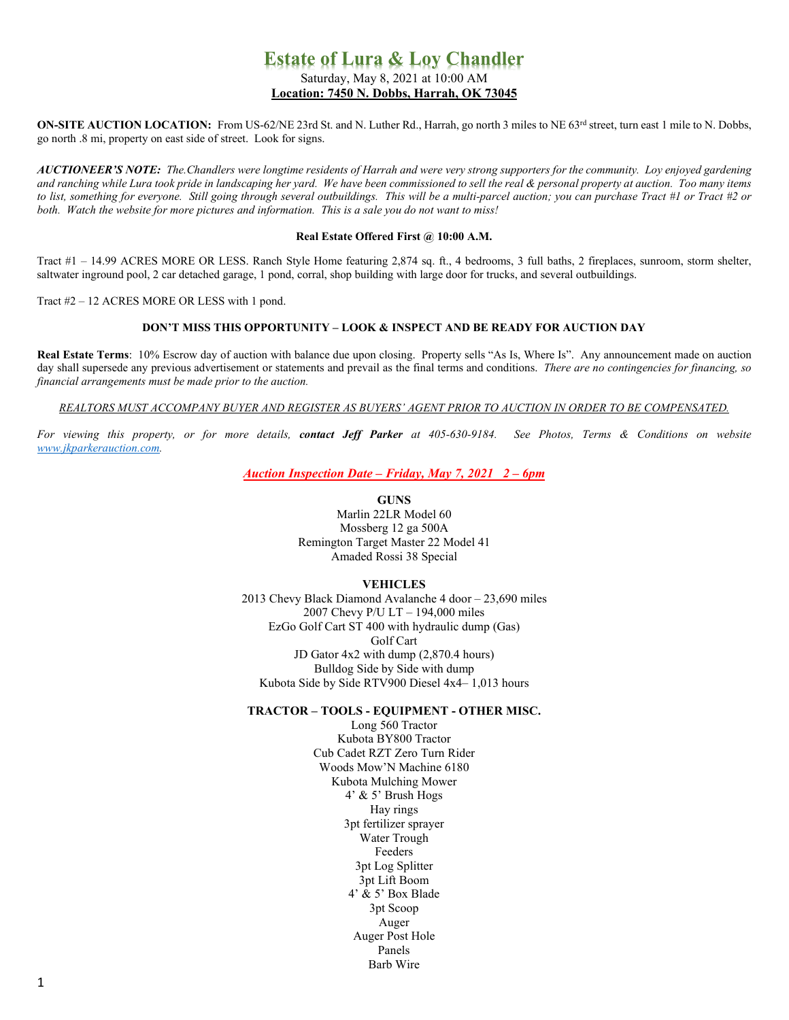# **Estate of Lura & Loy Chandler** Saturday, May 8, 2021 at 10:00 AM **Location: 7450 N. Dobbs, Harrah, OK 73045**

**ON-SITE AUCTION LOCATION:** From US-62/NE 23rd St. and N. Luther Rd., Harrah, go north 3 miles to NE 63<sup>rd</sup> street, turn east 1 mile to N. Dobbs, go north .8 mi, property on east side of street. Look for signs.

AUCTIONEER'S NOTE: The Chandlers were longtime residents of Harrah and were very strong supporters for the community. Loy enjoyed gardening and ranching while Lura took pride in landscaping her yard. We have been commissioned to sell the real & personal property at auction. Too many items to list, something for everyone. Still going through several outbuildings. This will be a multi-parcel auction; you can purchase Tract #1 or Tract #2 or *both. Watch the website for more pictures and information. This is a sale you do not want to miss!*

### **Real Estate Offered First @ 10:00 A.M.**

Tract #1 – 14.99 ACRES MORE OR LESS. Ranch Style Home featuring 2,874 sq. ft., 4 bedrooms, 3 full baths, 2 fireplaces, sunroom, storm shelter, saltwater inground pool, 2 car detached garage, 1 pond, corral, shop building with large door for trucks, and several outbuildings.

Tract #2 – 12 ACRES MORE OR LESS with 1 pond.

# **DON'T MISS THIS OPPORTUNITY – LOOK & INSPECT AND BE READY FOR AUCTION DAY**

**Real Estate Terms**: 10% Escrow day of auction with balance due upon closing. Property sells "As Is, Where Is". Any announcement made on auction day shall supersede any previous advertisement or statements and prevail as the final terms and conditions. *There are no contingencies for financing, so financial arrangements must be made prior to the auction.*

*REALTORS MUST ACCOMPANY BUYER AND REGISTER AS BUYERS' AGENT PRIOR TO AUCTION IN ORDER TO BE COMPENSATED.*

*For viewing this property, or for more details, contact Jeff Parker at 405-630-9184. See Photos, Terms & Conditions on website [www.jkparkerauction.com.](http://www.jkparkerauction.com/)*

*Auction Inspection Date – Friday, May 7, 2021 2 – 6pm*

**GUNS**

Marlin 22LR Model 60 Mossberg 12 ga 500A Remington Target Master 22 Model 41 Amaded Rossi 38 Special

## **VEHICLES**

2013 Chevy Black Diamond Avalanche 4 door – 23,690 miles 2007 Chevy P/U LT – 194,000 miles EzGo Golf Cart ST 400 with hydraulic dump (Gas) Golf Cart JD Gator 4x2 with dump (2,870.4 hours) Bulldog Side by Side with dump Kubota Side by Side RTV900 Diesel 4x4– 1,013 hours

# **TRACTOR – TOOLS - EQUIPMENT - OTHER MISC.**

Long 560 Tractor Kubota BY800 Tractor Cub Cadet RZT Zero Turn Rider Woods Mow'N Machine 6180 Kubota Mulching Mower 4' & 5' Brush Hogs Hay rings 3pt fertilizer sprayer Water Trough Feeders 3pt Log Splitter 3pt Lift Boom 4' & 5' Box Blade 3pt Scoop Auger Auger Post Hole Panels Barb Wire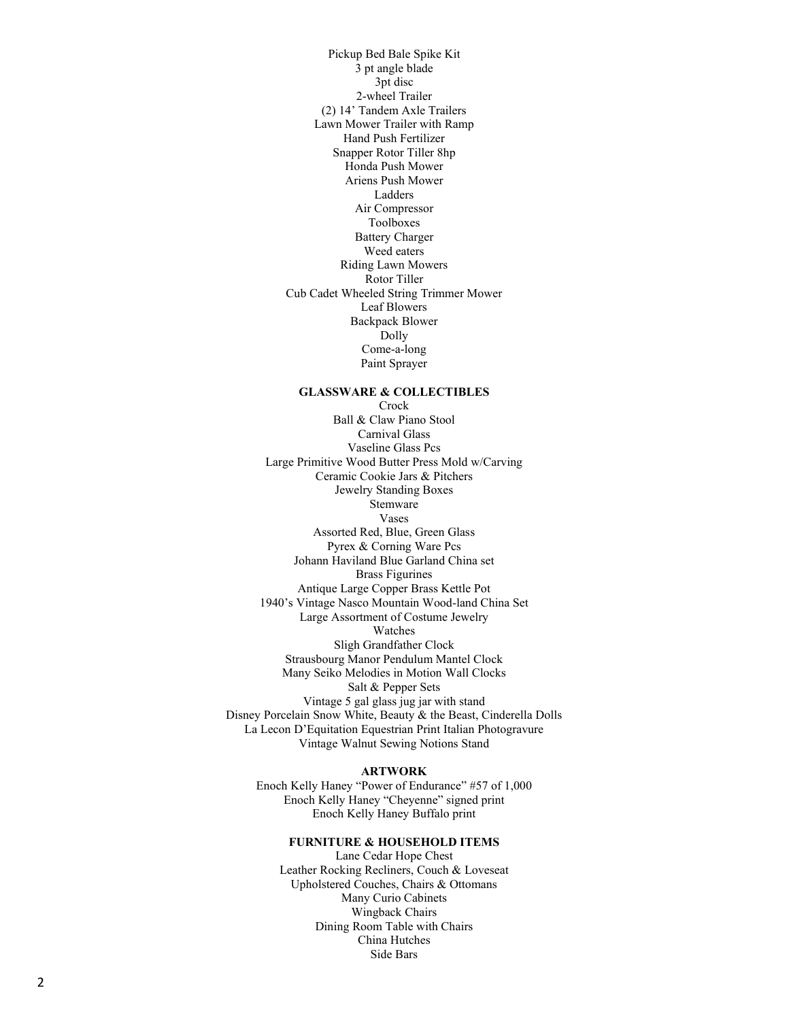Pickup Bed Bale Spike Kit 3 pt angle blade 3pt disc 2 -wheel Trailer (2) 14' Tandem Axle Trailers Lawn Mower Trailer with Ramp Hand Push Fertilizer Snapper Rotor Tiller 8hp Honda Push Mower Ariens Push Mower Ladders Air Compressor Toolboxes Battery Charger Weed eaters Riding Lawn Mowers Rotor Tiller Cub Cadet Wheeled String Trimmer Mower Leaf Blowers Backpack Blower Dolly Come-a-long Paint Sprayer

### **GLASSWARE & COLLECTIBLES**

**Crock** Ball & Claw Piano Stool Carnival Glass Vaseline Glass Pcs Large Primitive Wood Butter Press Mold w/Carving Ceramic Cookie Jars & Pitchers Jewelry Standing Boxes **Stemware** Vases Assorted Red, Blue, Green Glass Pyrex & Corning Ware Pcs Johann Haviland Blue Garland China set Brass Figurines Antique Large Copper Brass Kettle Pot 1940's Vintage Nasco Mountain Wood -land China Set Large Assortment of Costume Jewelry Watches Sligh Grandfather Clock Strausbourg Manor Pendulum Mantel Clock Many Seiko Melodies in Motion Wall Clocks Salt & Pepper Set s Vintage 5 gal glass jug jar with stand Disney Porcelain Snow White, Beauty & the Beast, Cinderella Dolls La Lecon D'Equitation Equestrian Print Italian Photogravure Vintage Walnut Sewing Notions Stand

#### **ARTWORK**

Enoch Kelly Haney "Power of Endurance" #57 of 1,000 Enoch Kelly Haney "Cheyenne" signed print Enoch Kelly Haney Buffalo print

# **FURNITURE & HOUSEHOLD ITEMS**

Lane Cedar Hope Chest Leather Rocking Recliners, Couch & Loveseat Upholstered Couches, Chairs & Ottomans Many Curio Cabinets Wingback Chairs Dining Room Table with Chairs China Hutch e s Side Bar s